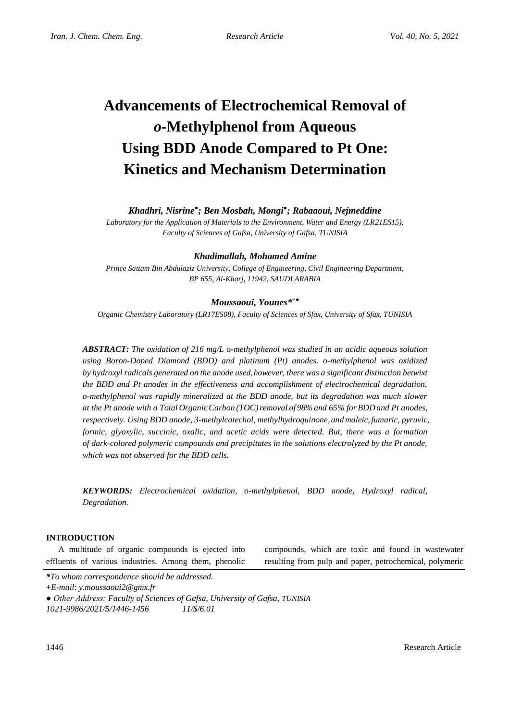# **Advancements of Electrochemical Removal of**  *o***-Methylphenol from Aqueous Using BDD Anode Compared to Pt One: Kinetics and Mechanism Determination**

# *Khadhri, Nisrine● ; Ben Mosbah, Mongi● ; Rabaaoui, Nejmeddine*

*Laboratory for the Application of Materials to the Environment, Water and Energy (LR21ES15), Faculty of Sciences of Gafsa, University of Gafsa, TUNISIA*

# *Khadimallah, Mohamed Amine*

*Prince Sattam Bin Abdulaziz University, College of Engineering, Civil Engineering Department, BP 655, Al-Kharj, 11942, SAUDI ARABIA*

# *Moussaoui, Younes\* +●*

*Organic Chemistry Laboratory (LR17ES08), Faculty of Sciences of Sfax, University of Sfax, TUNISIA*

*ABSTRACT: The oxidation of 216 mg/L o-methylphenol was studied in an acidic aqueous solution using Boron-Doped Diamond (BDD) and platinum (Pt) anodes. o-methylphenol was oxidized by hydroxyl radicals generated on the anode used,however, there was a significant distinction betwixt the BDD and Pt anodes in the effectiveness and accomplishment of electrochemical degradation. o-methylphenol was rapidly mineralized at the BDD anode, but its degradation was much slower at the Pt anode with a Total OrganicCarbon (TOC)removal of 98% and 65% forBDD and Pt anodes, respectively. Using BDD anode, 3-methylcatechol, methylhydroquinone, andmaleic,fumaric, pyruvic, formic, glyoxylic, succinic, oxalic, and acetic acids were detected. But, there was a formation of dark-colored polymeric compounds and precipitates in the solutions electrolyzed by the Pt anode, which was not observed for the BDD cells.*

*KEYWORDS: Electrochemical oxidation, o-methylphenol, BDD anode, Hydroxyl radical, Degradation.*

### **INTRODUCTION**

A multitude of organic compounds is ejected into effluents of various industries. Among them, phenolic

compounds, which are toxic and found in wastewater resulting from pulp and paper, petrochemical, polymeric

*\*To whom correspondence should be addressed.*

**+***E-mail*: *y.moussaoui2@gmx.fr*

*● Other Address: Faculty of Sciences of Gafsa, University of Gafsa, TUNISIA 1021-9986/2021/5/1446-1456 11/\$/6.01*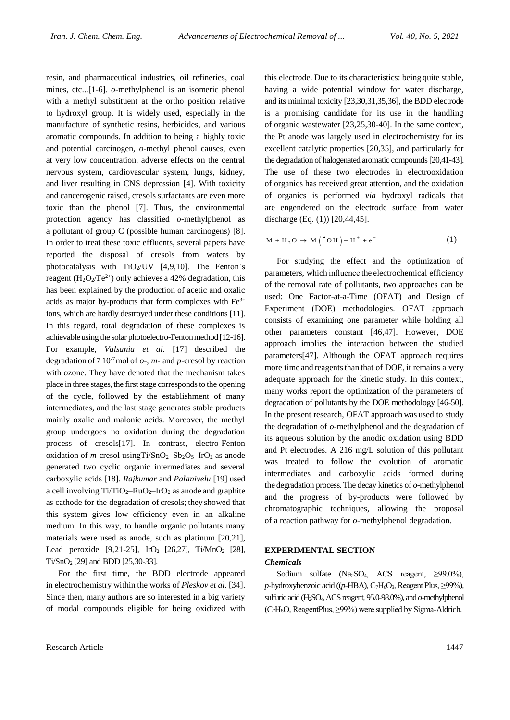resin, and pharmaceutical industries, oil refineries, coal mines, etc...[1-6]. *o*-methylphenol is an isomeric phenol with a methyl substituent at the ortho position relative to hydroxyl group. It is widely used, especially in the manufacture of synthetic resins, herbicides, and various aromatic compounds. In addition to being a highly toxic and potential carcinogen, *o*-methyl phenol causes, even at very low concentration, adverse effects on the central nervous system, cardiovascular system, lungs, kidney, and liver resulting in CNS depression [4]. With toxicity and cancerogenic raised, cresols surfactants are even more toxic than the phenol [7]. Thus, the environmental protection agency has classified *o*-methylphenol as a pollutant of group C (possible human carcinogens) [8]. In order to treat these toxic effluents, several papers have reported the disposal of cresols from waters by photocatalysis with  $TiO<sub>2</sub>/UV$  [4,9,10]. The Fenton's reagent  $(H<sub>2</sub>O<sub>2</sub>/Fe<sup>2+</sup>)$  only achieves a 42% degradation, this has been explained by the production of acetic and oxalic acids as major by-products that form complexes with  $Fe<sup>3+</sup>$ ions, which are hardly destroyed under these conditions [11]. In this regard, total degradation of these complexes is achievable using the solar photoelectro-Fenton method [12-16]. For example, *Valsania et al.* [17] described the degradation of 7 10<sup>-7</sup>mol of  $o$ -,  $m$ - and  $p$ -cresol by reaction with ozone. They have denoted that the mechanism takes place in three stages, the first stage corresponds to the opening of the cycle, followed by the establishment of many intermediates, and the last stage generates stable products mainly oxalic and malonic acids. Moreover, the methyl group undergoes no oxidation during the degradation process of cresols[17]. In contrast, electro-Fenton oxidation of *m*-cresol using $Ti/SnO<sub>2</sub> - Sb<sub>2</sub>O<sub>5</sub> - IrO<sub>2</sub>$  as anode generated two cyclic organic intermediates and several carboxylic acids [18]. *Rajkumar* and *Palanivelu* [19] used a cell involving  $Ti/TiO_2-RuO_2-IrO_2$  as anode and graphite as cathode for the degradation of cresols; they showed that this system gives low efficiency even in an alkaline medium. In this way, to handle organic pollutants many materials were used as anode, such as platinum [20,21], Lead peroxide  $[9,21-25]$ , IrO<sub>2</sub>  $[26,27]$ , Ti/MnO<sub>2</sub>  $[28]$ ,  $Ti/SnO<sub>2</sub>$  [29] and BDD [25,30-33].

For the first time, the BDD electrode appeared in electrochemistry within the works of *Pleskov et al.* [34]. Since then, many authors are so interested in a big variety of modal compounds eligible for being oxidized with

this electrode. Due to its characteristics: being quite stable, having a wide potential window for water discharge, and its minimal toxicity [23,30,31,35,36], the BDD electrode is a promising candidate for its use in the handling of organic wastewater [23,25,30-40]. In the same context, the Pt anode was largely used in electrochemistry for its excellent catalytic properties [20,35], and particularly for the degradation of halogenated aromatic compounds [20,41-43]. The use of these two electrodes in electrooxidation of organics has received great attention, and the oxidation of organics is performed *via* hydroxyl radicals that are engendered on the electrode surface from water discharge (Eq. (1)) [20,44,45].

$$
M + H_2O \rightarrow M(^{\bullet}OH) + H^+ + e^-
$$
 (1)

For studying the effect and the optimization of parameters, which influence the electrochemical efficiency of the removal rate of pollutants, two approaches can be used: One Factor-at-a-Time (OFAT) and Design of Experiment (DOE) methodologies. OFAT approach consists of examining one parameter while holding all other parameters constant [46,47]. However, DOE approach implies the interaction between the studied parameters[47]. Although the OFAT approach requires more time and reagents than that of DOE, it remains a very adequate approach for the kinetic study. In this context, many works report the optimization of the parameters of degradation of pollutants by the DOE methodology [46-50]. In the present research, OFAT approach was used to study the degradation of *o*-methylphenol and the degradation of its aqueous solution by the anodic oxidation using BDD and Pt electrodes. A 216 mg/L solution of this pollutant was treated to follow the evolution of aromatic intermediates and carboxylic acids formed during the degradation process.The decay kinetics of *o*-methylphenol and the progress of by-products were followed by chromatographic techniques, allowing the proposal of a reaction pathway for *o*-methylphenol degradation.

## **EXPERIMENTAL SECTION** *Chemicals*

Sodium sulfate (Na<sub>2</sub>SO<sub>4</sub>, ACS reagent,  $\geq$ 99.0%), *p*-hydroxybenzoic acid ((*p*-HBA), C<sub>7</sub>H<sub>6</sub>O<sub>3</sub>, Reagent Plus, ≥99%), sulfuric acid (H2SO4,ACS reagent, 95.0-98.0%), and *o*-methylphenol  $(C_7H_8O,$  ReagentPlus,  $\geq$ 99%) were supplied by Sigma-Aldrich.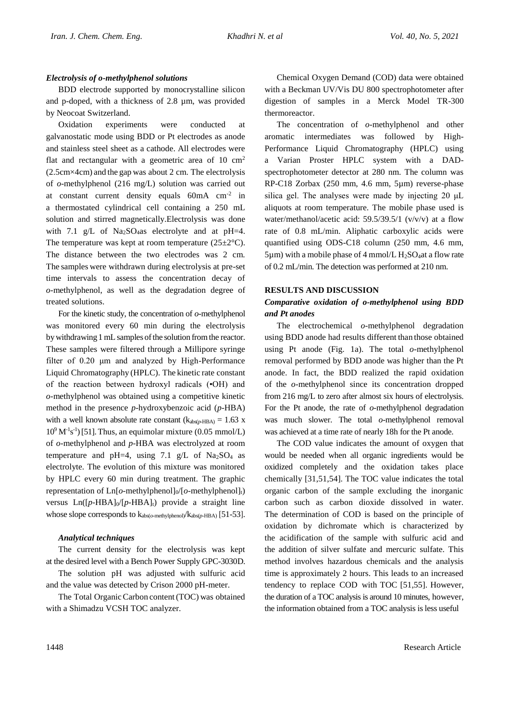#### *Electrolysis of o-methylphenol solutions*

BDD electrode supported by monocrystalline silicon and p-doped, with a thickness of 2.8 µm, was provided by Neocoat Switzerland.

Oxidation experiments were conducted at galvanostatic mode using BDD or Pt electrodes as anode and stainless steel sheet as a cathode. All electrodes were flat and rectangular with a geometric area of 10  $\text{cm}^2$ (2.5cm×4cm) and the gap was about 2 cm. The electrolysis of *o*-methylphenol (216 mg/L) solution was carried out at constant current density equals 60mA cm-2 in a thermostated cylindrical cell containing a 250 mL solution and stirred magnetically.Electrolysis was done with 7.1 g/L of Na<sub>2</sub>SO<sub>4</sub>as electrolyte and at pH=4. The temperature was kept at room temperature  $(25\pm2^{\circ}C)$ . The distance between the two electrodes was 2 cm. The samples were withdrawn during electrolysis at pre-set time intervals to assess the concentration decay of *o*-methylphenol, as well as the degradation degree of treated solutions.

For the kinetic study, the concentration of *o*-methylphenol was monitored every 60 min during the electrolysis by withdrawing 1 mL samples of the solution from the reactor. These samples were filtered through a Millipore syringe filter of 0.20 μm and analyzed by High-Performance Liquid Chromatography (HPLC). The kinetic rate constant of the reaction between hydroxyl radicals (•OH) and *o*-methylphenol was obtained using a competitive kinetic method in the presence *p*-hydroxybenzoic acid (*p*-HBA) with a well known absolute rate constant  $(k_{abs(p-HBA)} = 1.63$  x  $10^9 \text{ M}^{-1}\text{s}^{-1}$  [51]. Thus, an equimolar mixture (0.05 mmol/L) of *o*-methylphenol and *p*-HBA was electrolyzed at room temperature and pH=4, using 7.1 g/L of  $Na<sub>2</sub>SO<sub>4</sub>$  as electrolyte. The evolution of this mixture was monitored by HPLC every 60 min during treatment. The graphic representation of Ln[ $o$ -methylphenol]<sub>0</sub>/[ $o$ -methylphenol]<sub>t</sub>) versus  $Ln([p-HBA]_0/[p-HBA]_t)$  provide a straight line whose slope corresponds to  $k_{\text{abs}(o\text{-method})}/k_{\text{abs}(p\text{-HBA})}$  [51-53].

#### *Analytical techniques*

The current density for the electrolysis was kept at the desired level with a Bench Power Supply GPC-3030D.

The solution pH was adjusted with sulfuric acid and the value was detected by Crison 2000 pH-meter.

The Total Organic Carbon content (TOC) was obtained with a Shimadzu VCSH TOC analyzer.

Chemical Oxygen Demand (COD) data were obtained with a Beckman UV/Vis DU 800 spectrophotometer after digestion of samples in a Merck Model TR-300 thermoreactor.

The concentration of *o*-methylphenol and other aromatic intermediates was followed by High-Performance Liquid Chromatography (HPLC) using Varian Proster HPLC system with a DADspectrophotometer detector at 280 nm. The column was RP-C18 Zorbax (250 mm, 4.6 mm, 5µm) reverse-phase silica gel. The analyses were made by injecting 20 μL aliquots at room temperature. The mobile phase used is water/methanol/acetic acid: 59.5/39.5/1 (v/v/v) at a flow rate of 0.8 mL/min. Aliphatic carboxylic acids were quantified using ODS-C18 column (250 mm, 4.6 mm,  $5\mu$ m) with a mobile phase of 4 mmol/L H<sub>2</sub>SO<sub>4</sub>at a flow rate of 0.2 mL/min. The detection was performed at 210 nm.

#### **RESULTS AND DISCUSSION**

# *Comparative oxidation of o-methylphenol using BDD and Pt anodes*

The electrochemical *o*-methylphenol degradation using BDD anode had results different than those obtained using Pt anode (Fig. 1a). The total *o*-methylphenol removal performed by BDD anode was higher than the Pt anode. In fact, the BDD realized the rapid oxidation of the *o*-methylphenol since its concentration dropped from 216 mg/L to zero after almost six hours of electrolysis. For the Pt anode, the rate of *o*-methylphenol degradation was much slower. The total *o*-methylphenol removal was achieved at a time rate of nearly 18h for the Pt anode.

The COD value indicates the amount of oxygen that would be needed when all organic ingredients would be oxidized completely and the oxidation takes place chemically [31,51,54]. The TOC value indicates the total organic carbon of the sample excluding the inorganic carbon such as carbon dioxide dissolved in water. The determination of COD is based on the principle of oxidation by dichromate which is characterized by the acidification of the sample with sulfuric acid and the addition of silver sulfate and mercuric sulfate. This method involves hazardous chemicals and the analysis time is approximately 2 hours. This leads to an increased tendency to replace COD with TOC [51,55]. However, the duration of a TOC analysis is around 10 minutes, however, the information obtained from a TOC analysis is less useful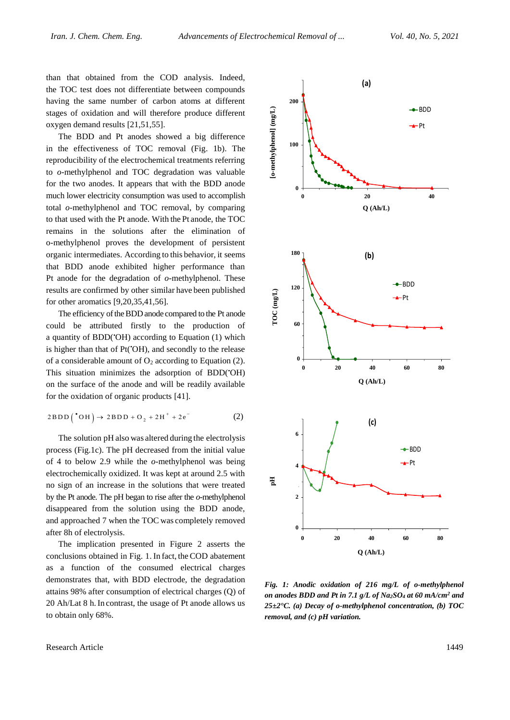than that obtained from the COD analysis. Indeed, the TOC test does not differentiate between compounds having the same number of carbon atoms at different stages of oxidation and will therefore produce different oxygen demand results [21,51,55].

The BDD and Pt anodes showed a big difference in the effectiveness of TOC removal (Fig. 1b). The reproducibility of the electrochemical treatments referring to *o*-methylphenol and TOC degradation was valuable for the two anodes. It appears that with the BDD anode much lower electricity consumption was used to accomplish total *o*-methylphenol and TOC removal, by comparing to that used with the Pt anode. With the Pt anode, the TOC remains in the solutions after the elimination of o-methylphenol proves the development of persistent organic intermediates. According to this behavior, it seems that BDD anode exhibited higher performance than Pt anode for the degradation of *o*-methylphenol. These results are confirmed by other similar have been published for other aromatics [9,20,35,41,56].

The efficiency of the BDD anode compared to the Pt anode could be attributed firstly to the production of a quantity of BDD(•OH) according to Equation (1) which is higher than that of Pt('OH), and secondly to the release of a considerable amount of  $O_2$  according to Equation (2). This situation minimizes the adsorption of BDD('OH) on the surface of the anode and will be readily available for the oxidation of organic products [41].

$$
2BDD(^{\bullet}OH) \rightarrow 2BDD + O_2 + 2H^+ + 2e^-
$$
 (2)

The solution pH also was altered during the electrolysis process (Fig.1c). The pH decreased from the initial value of 4 to below 2.9 while the *o*-methylphenol was being electrochemically oxidized. It was kept at around 2.5 with no sign of an increase in the solutions that were treated by the Pt anode. The pH began to rise after the *o*-methylphenol disappeared from the solution using the BDD anode, and approached 7 when the TOC was completely removed after 8h of electrolysis.

The implication presented in Figure 2 asserts the conclusions obtained in Fig. 1. In fact, the COD abatement as a function of the consumed electrical charges demonstrates that, with BDD electrode, the degradation attains 98% after consumption of electrical charges (Q) of 20 Ah/Lat 8 h.In contrast, the usage of Pt anode allows us to obtain only 68%.





*Fig. 1: Anodic oxidation of 216 mg/L of o-methylphenol on anodes BDD and Pt in 7.1 g/L of Na2SO<sup>4</sup> at 60 mA/cm<sup>2</sup> and 25±2°C. (a) Decay of o-methylphenol concentration, (b) TOC removal, and (c) pH variation.*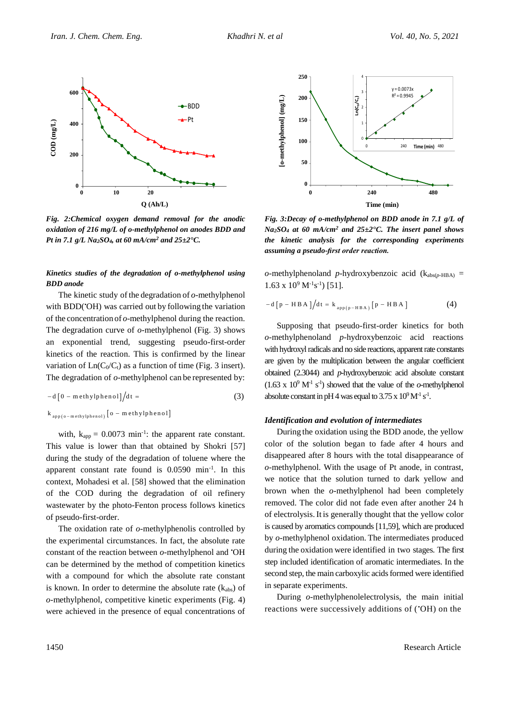

*Fig. 2:Chemical oxygen demand removal for the anodic oxidation of 216 mg/L of o-methylphenol on anodes BDD and Pt in 7.1 g/L Na2SO4, at 60 mA/cm<sup>2</sup> and 25±2°C.*

#### *Kinetics studies of the degradation of o-methylphenol using BDD anode*

The kinetic study of the degradation of *o*-methylphenol with BDD( $^{\circ}$ OH) was carried out by following the variation of the concentration of *o*-methylphenol during the reaction. The degradation curve of *o*-methylphenol (Fig. 3) shows an exponential trend, suggesting pseudo-first-order kinetics of the reaction. This is confirmed by the linear variation of  $Ln(C_0/C_t)$  as a function of time (Fig. 3 insert). The degradation of *o*-methylphenol can be represented by:

$$
-d\left[0-\text{methylphenol}\right]/dt = \qquad (3)
$$

$$
k_{app(o-m \, ethylphenol)} \left[ o - m \, ethylphenol \right]
$$

with,  $k_{app} = 0.0073$  min<sup>-1</sup>: the apparent rate constant. This value is lower than that obtained by Shokri [57] during the study of the degradation of toluene where the apparent constant rate found is 0.0590 min-1 . In this context, Mohadesi et al. [58] showed that the elimination of the COD during the degradation of oil refinery wastewater by the photo-Fenton process follows kinetics of pseudo-first-order.

The oxidation rate of *o*-methylphenolis controlled by the experimental circumstances. In fact, the absolute rate constant of the reaction between *o*-methylphenol and •OH can be determined by the method of competition kinetics with a compound for which the absolute rate constant is known. In order to determine the absolute rate  $(k_{abs})$  of *o*-methylphenol, competitive kinetic experiments (Fig. 4) were achieved in the presence of equal concentrations of



*Fig. 3:Decay of o-methylphenol on BDD anode in 7.1 g/L of Na2SO<sup>4</sup> at 60 mA/cm<sup>2</sup> and 25±2°C. The insert panel shows the kinetic analysis for the corresponding experiments assuming a pseudo-first order reaction.*

*o*-methylphenoland *p*-hydroxybenzoic acid ( $k_{abs(p-HBA)}$  =  $1.63 \times 10^{9} \text{ M}^{-1}\text{s}^{-1}$ ) [51].

$$
-d[p - HBA]/dt = k_{app(p - HBA)}[p - HBA]
$$
 (4)

Supposing that pseudo-first-order kinetics for both *o*-methylphenoland *p*-hydroxybenzoic acid reactions with hydroxyl radicals and no side reactions, apparent rate constants are given by the multiplication between the angular coefficient obtained (2.3044) and *p*-hydroxybenzoic acid absolute constant  $(1.63 \times 10^{9} \text{ M}^{1} \text{ s}^{1})$  showed that the value of the *o*-methylphenol absolute constant in pH 4 was equal to  $3.75 \times 10^9$  M<sup>-1</sup> s<sup>-1</sup>.

#### *Identification and evolution of intermediates*

During the oxidation using the BDD anode, the yellow color of the solution began to fade after 4 hours and disappeared after 8 hours with the total disappearance of *o*-methylphenol. With the usage of Pt anode, in contrast, we notice that the solution turned to dark yellow and brown when the *o*-methylphenol had been completely removed. The color did not fade even after another 24 h of electrolysis. It is generally thought that the yellow color is caused by aromatics compounds [11,59], which are produced by *o*-methylphenol oxidation. The intermediates produced during the oxidation were identified in two stages. The first step included identification of aromatic intermediates. In the second step, the main carboxylic acids formed were identified in separate experiments.

During *o*-methylphenolelectrolysis, the main initial reactions were successively additions of (•OH) on the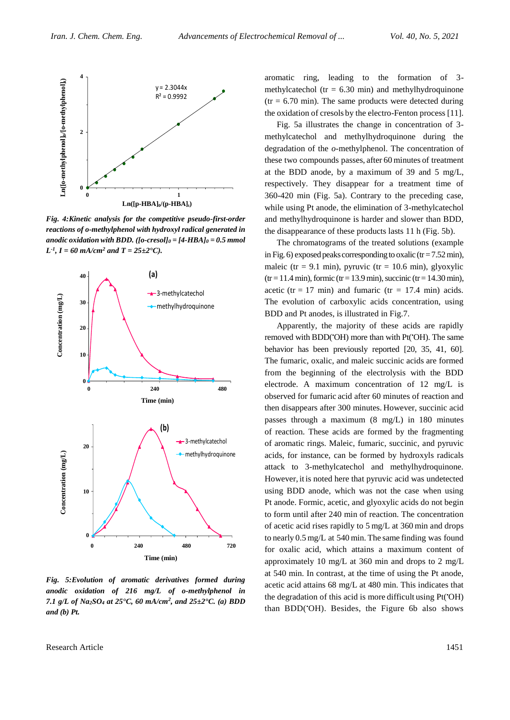

*Fig. 4:Kinetic analysis for the competitive pseudo-first-order reactions of o-methylphenol with hydroxyl radical generated in anodic oxidation with BDD. ([o-cresol]<sup>0</sup> = [4-HBA]<sup>0</sup> = 0.5 mmol*   $L^{-1}$ ,  $I = 60$  mA/cm<sup>2</sup> and  $T = 25 \pm 2$ °C).



*Fig. 5:Evolution of aromatic derivatives formed during anodic oxidation of 216 mg/L of o-methylphenol in 7.1 g/L of Na*<sub>2</sub>*SO<sub>4</sub></sub> at 25*<sup> $\text{ }$ </sup>C, 60 mA/cm<sup>2</sup>, and 25 $\pm$ 2<sup> $\text{ }$ </sup>C. (a) BDD *and (b) Pt.*

aromatic ring, leading to the formation of 3 methylcatechol (tr =  $6.30$  min) and methylhydroquinone  $(tr = 6.70 \text{ min})$ . The same products were detected during the oxidation of cresols by the electro-Fenton process [11].

Fig. 5a illustrates the change in concentration of 3 methylcatechol and methylhydroquinone during the degradation of the *o*-methylphenol. The concentration of these two compounds passes, after 60 minutes of treatment at the BDD anode, by a maximum of 39 and 5 mg/L, respectively. They disappear for a treatment time of 360-420 min (Fig. 5a). Contrary to the preceding case, while using Pt anode, the elimination of 3-methylcatechol and methylhydroquinone is harder and slower than BDD, the disappearance of these products lasts 11 h (Fig. 5b).

The chromatograms of the treated solutions (example in Fig. 6) exposed peaks corresponding to oxalic ( $tr = 7.52$  min), maleic (tr = 9.1 min), pyruvic (tr = 10.6 min), glyoxylic  $(tr = 11.4 \text{ min})$ , formic  $(tr = 13.9 \text{ min})$ , succinic  $(tr = 14.30 \text{ min})$ , acetic (tr = 17 min) and fumaric (tr = 17.4 min) acids. The evolution of carboxylic acids concentration, using BDD and Pt anodes, is illustrated in Fig.7.

Apparently, the majority of these acids are rapidly removed with BDD('OH) more than with Pt('OH). The same behavior has been previously reported [20, 35, 41, 60]. The fumaric, oxalic, and maleic succinic acids are formed from the beginning of the electrolysis with the BDD electrode. A maximum concentration of 12 mg/L is observed for fumaric acid after 60 minutes of reaction and then disappears after 300 minutes. However, succinic acid passes through a maximum (8 mg/L) in 180 minutes of reaction. These acids are formed by the fragmenting of aromatic rings. Maleic, fumaric, succinic, and pyruvic acids, for instance, can be formed by hydroxyls radicals attack to 3-methylcatechol and methylhydroquinone. However, it is noted here that pyruvic acid was undetected using BDD anode, which was not the case when using Pt anode. Formic, acetic, and glyoxylic acids do not begin to form until after 240 min of reaction. The concentration of acetic acid rises rapidly to 5 mg/L at 360 min and drops to nearly 0.5 mg/L at 540 min. The same finding was found for oxalic acid, which attains a maximum content of approximately 10 mg/L at 360 min and drops to 2 mg/L at 540 min. In contrast, at the time of using the Pt anode, acetic acid attains 68 mg/L at 480 min. This indicates that the degradation of this acid is more difficult using Pt(•OH) than BDD(•OH). Besides, the Figure 6b also shows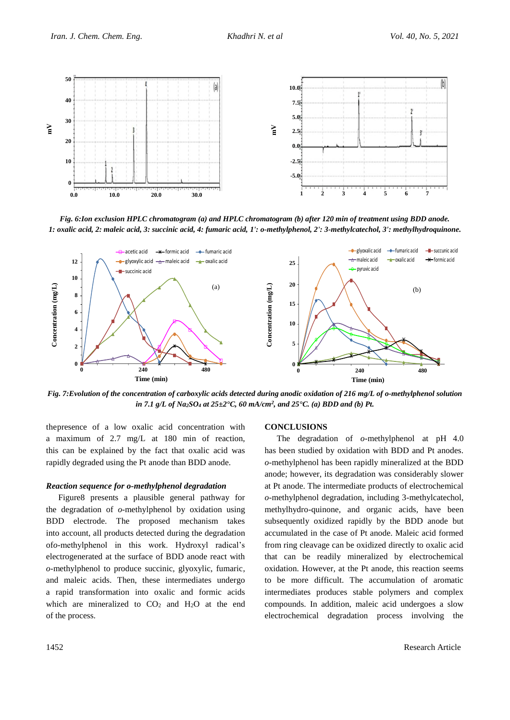

*Fig. 6:Ion exclusion HPLC chromatogram (a) and HPLC chromatogram (b) after 120 min of treatment using BDD anode. 1: oxalic acid, 2: maleic acid, 3: succinic acid, 4: fumaric acid, 1': o-methylphenol, 2': 3-methylcatechol, 3': methylhydroquinone.*



*Fig. 7:Evolution of the concentration of carboxylic acids detected during anodic oxidation of 216 mg/L of o-methylphenol solution*  0 *in 7.1 g*/*L of Na*<sub>2</sub>*SO<sub>4</sub></sub> <i>at 25* $\pm$ 2°*C*, *60 mA*/*cm*<sup>2</sup>, *and 25*°*C*. *(a) BDD and (b) Pt.* 

thepresence of a low oxalic acid concentration with a maximum of 2.7 mg/L at 180 min of reaction, this can be explained by the fact that oxalic acid was rapidly degraded using the Pt anode than BDD anode.

#### *Reaction sequence for o-methylphenol degradation*

Figure8 presents a plausible general pathway for the degradation of *o*-methylphenol by oxidation using BDD electrode. The proposed mechanism takes into account, all products detected during the degradation of*o*-methylphenol in this work. Hydroxyl radical's electrogenerated at the surface of BDD anode react with *o*-methylphenol to produce succinic, glyoxylic, fumaric, and maleic acids. Then, these intermediates undergo a rapid transformation into oxalic and formic acids which are mineralized to  $CO<sub>2</sub>$  and  $H<sub>2</sub>O$  at the end of the process.

#### **CONCLUSIONS**

The degradation of *o*-methylphenol at pH 4.0 has been studied by oxidation with BDD and Pt anodes. *o*-methylphenol has been rapidly mineralized at the BDD anode; however, its degradation was considerably slower at Pt anode. The intermediate products of electrochemical *o*-methylphenol degradation, including 3-methylcatechol, methylhydro-quinone, and organic acids, have been subsequently oxidized rapidly by the BDD anode but accumulated in the case of Pt anode. Maleic acid formed from ring cleavage can be oxidized directly to oxalic acid that can be readily mineralized by electrochemical oxidation. However, at the Pt anode, this reaction seems to be more difficult. The accumulation of aromatic intermediates produces stable polymers and complex compounds. In addition, maleic acid undergoes a slow electrochemical degradation process involving the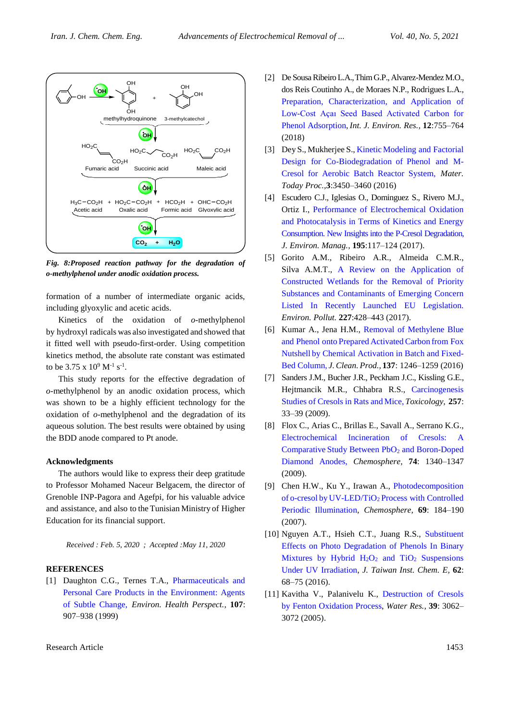

*Fig. 8:Proposed reaction pathway for the degradation of o-methylphenol under anodic oxidation process.*

formation of a number of intermediate organic acids, including glyoxylic and acetic acids.

Kinetics of the oxidation of *o*-methylphenol by hydroxyl radicals was also investigated and showed that it fitted well with pseudo-first-order. Using competition kinetics method, the absolute rate constant was estimated to be  $3.75 \times 10^9$  M<sup>-1</sup> s<sup>-1</sup>.

This study reports for the effective degradation of *o*-methylphenol by an anodic oxidation process, which was shown to be a highly efficient technology for the oxidation of *o*-methylphenol and the degradation of its aqueous solution. The best results were obtained by using the BDD anode compared to Pt anode.

#### **Acknowledgments**

The authors would like to express their deep gratitude to Professor Mohamed Naceur Belgacem, the director of Grenoble INP-Pagora and Agefpi, for his valuable advice and assistance, and also to the Tunisian Ministry of Higher Education for its financial support.

*Received : Feb. 5, 2020 ; Accepted :May 11, 2020*

#### **REFERENCES**

[1] Daughton C.G., Ternes T.A., Pharmaceuticals and [Personal Care Products in the Environment: Agents](https://ehp.niehs.nih.gov/doi/10.1289/ehp.99107s6907)  [of Subtle Change,](https://ehp.niehs.nih.gov/doi/10.1289/ehp.99107s6907) *Environ. Health Perspect.,* **107**: 907–938 (1999)

- [2] De Sousa Ribeiro L.A.,Thim G.P., Alvarez-Mendez M.O., dos Reis Coutinho A., de Moraes N.P., Rodrigues L.A., [Preparation, Characterization, and Application of](https://link.springer.com/article/10.1007/s41742-018-0128-5)  [Low-Cost Açaı Seed Based Activated Carbon for](https://link.springer.com/article/10.1007/s41742-018-0128-5)  [Phenol Adsorption,](https://link.springer.com/article/10.1007/s41742-018-0128-5) *Int. J. Environ. Res.,* **12**:755–764 (2018)
- [3] Dey S., Mukherjee S., Kinetic Modeling and Factorial [Design for Co-Biodegradation](https://www.sciencedirect.com/science/article/pii/S2214785316303595) of Phenol and M-[Cresol for Aerobic Batch Reactor System](https://www.sciencedirect.com/science/article/pii/S2214785316303595)*, Mater. Today Proc.,***3**:3450–3460 (2016)
- [4] Escudero C.J., Iglesias O., Dominguez S., Rivero M.J., Ortiz I., [Performance of Electrochemical Oxidation](https://www.sciencedirect.com/science/article/pii/S0301479716302201)  [and Photocatalysis in Terms of Kinetics and Energy](https://www.sciencedirect.com/science/article/pii/S0301479716302201)  [Consumption. New Insights into the P-Cresol Degradation,](https://www.sciencedirect.com/science/article/pii/S0301479716302201) *J. Environ. Manag.,* **195**:117–124 (2017).
- [5] Gorito A.M., Ribeiro A.R., Almeida C.M.R., Silva A.M.T., [A Review on the Application of](https://www.sciencedirect.com/science/article/pii/S0269749116320383)  [Constructed Wetlands for the Removal of Priority](https://www.sciencedirect.com/science/article/pii/S0269749116320383)  [Substances and Contaminants of Emerging Concern](https://www.sciencedirect.com/science/article/pii/S0269749116320383)  [Listed In Recently Launched EU Legislation.](https://www.sciencedirect.com/science/article/pii/S0269749116320383) *Environ. Pollut.* **227**:428–443 (2017).
- [6] Kumar A., Jena H.M., [Removal of Methylene Blue](https://www.sciencedirect.com/science/article/pii/S0959652616310733)  [and Phenol onto](https://www.sciencedirect.com/science/article/pii/S0959652616310733) Prepared Activated Carbon from Fox Nutshell [by Chemical Activation in Batch and Fixed-](https://www.sciencedirect.com/science/article/pii/S0959652616310733)[Bed Column,](https://www.sciencedirect.com/science/article/pii/S0959652616310733) *J.Clean. Prod.,* **137**: 1246–1259 (2016)
- [7] Sanders J.M., Bucher J.R., Peckham J.C., Kissling G.E., Hejtmancik M.R., Chhabra R.S., [Carcinogenesis](https://www.sciencedirect.com/science/article/pii/S0300483X08005751)  Studies of [Cresols](https://www.sciencedirect.com/science/article/pii/S0300483X08005751) in Rats and Mice, *Toxicology,* **257**: 33–39 (2009).
- [8] Flox C., Arias C., Brillas E., Savall A., Serrano K.G., [Electrochemical Incineration of Cresols:](https://www.sciencedirect.com/science/article/pii/S0045653508014690) A Comparative Study Between PbO<sub>2</sub> and Boron-Doped [Diamond Anodes,](https://www.sciencedirect.com/science/article/pii/S0045653508014690) *Chemosphere,* **74**: 1340–1347 (2009).
- [9] Chen H.W., Ku Y., Irawan A., [Photodecomposition](https://www.sciencedirect.com/science/article/pii/S0045653507005784)  of o-cresol by UV-LED/TiO<sup>2</sup> [Process with Controlled](https://www.sciencedirect.com/science/article/pii/S0045653507005784)  [Periodic Illumination,](https://www.sciencedirect.com/science/article/pii/S0045653507005784) *Chemosphere,* **69**: 184–190 (2007).
- [10] Nguyen A.T., Hsieh C.T., Juang R.S., [Substituent](https://www.sciencedirect.com/science/article/pii/S1876107016000183)  [Effects on Photo Degradation of Phenols In Binary](https://www.sciencedirect.com/science/article/pii/S1876107016000183)  Mixtures by Hybrid  $H_2O_2$  and TiO<sub>2</sub> Suspensions [Under UV Irradiation,](https://www.sciencedirect.com/science/article/pii/S1876107016000183) *J. Taiwan Inst. Chem. E,* **62**: 68–75 (2016).
- [11] Kavitha V., Palanivelu K., [Destruction of Cresols](https://www.sciencedirect.com/science/article/pii/S0043135405002538)  [by Fenton Oxidation Process,](https://www.sciencedirect.com/science/article/pii/S0043135405002538) *Water Res.,* **39**: 3062– 3072 (2005).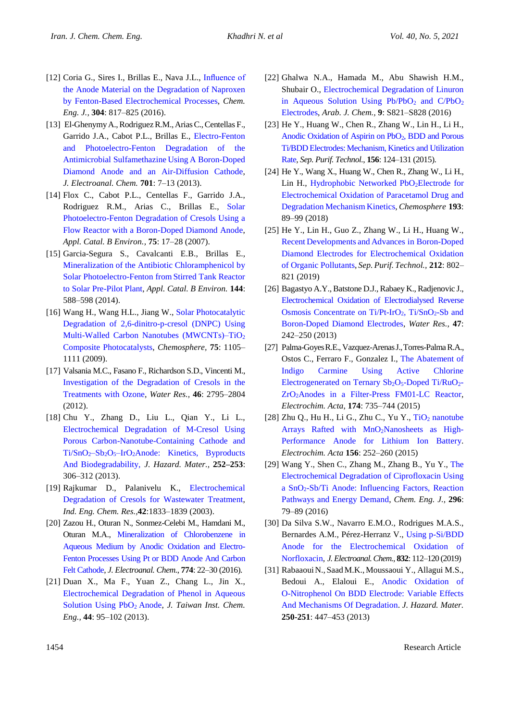- [12] Coria G., Sires I., Brillas E., Nava J.L., [Influence of](https://www.sciencedirect.com/science/article/pii/S1385894716309585)  [the Anode Material on the Degradation of Naproxen](https://www.sciencedirect.com/science/article/pii/S1385894716309585)  [by Fenton-Based Electrochemical Processes,](https://www.sciencedirect.com/science/article/pii/S1385894716309585) *Chem. Eng. J.,* **304**: 817–825 (2016).
- [13] El-Ghenymy A., Rodriguez R.M., Arias C., Centellas F., Garrido J.A., Cabot P.L., Brillas E., [Electro-Fenton](https://www.sciencedirect.com/science/article/pii/S1572665713002117)  [and Photoelectro-Fenton Degradation of the](https://www.sciencedirect.com/science/article/pii/S1572665713002117)  [Antimicrobial Sulfamethazine](https://www.sciencedirect.com/science/article/pii/S1572665713002117) Using A Boron-Doped [Diamond Anode and an Air-Diffusion Cathode,](https://www.sciencedirect.com/science/article/pii/S1572665713002117) *J. Electroanal. Chem.* **701**: 7–13 (2013).
- [14] Flox C., Cabot P.L., Centellas F., Garrido J.A., Rodriguez R.M., Arias C., Brillas E., [Solar](https://www.sciencedirect.com/science/article/pii/S0926337307000951)  [Photoelectro-Fenton Degradation of Cresols Using a](https://www.sciencedirect.com/science/article/pii/S0926337307000951) Flow Reactor with a [Boron-Doped Diamond Anode,](https://www.sciencedirect.com/science/article/pii/S0926337307000951) *Appl. Catal. B Environ.,* **75**: 17–28 (2007).
- [15] Garcia-Segura S., Cavalcanti E.B., Brillas E., [Mineralization of the Antibiotic Chloramphenicol by](https://www.sciencedirect.com/science/article/pii/S0926337313004992)  [Solar Photoelectro-Fenton fromStirred Tank Reactor](https://www.sciencedirect.com/science/article/pii/S0926337313004992)  [to Solar Pre-Pilot Plant,](https://www.sciencedirect.com/science/article/pii/S0926337313004992) *Appl. Catal. B Environ.* **144**: 588–598 (2014).
- [16] Wang H., Wang H.L., Jiang W., [Solar Photocatalytic](https://www.sciencedirect.com/science/article/pii/S0045653509000472)  [Degradation of 2,6-dinitro-p-cresol \(DNPC\) Using](https://www.sciencedirect.com/science/article/pii/S0045653509000472)  [Multi-Walled Carbon Nanotubes \(MWCNTs\)–TiO](https://www.sciencedirect.com/science/article/pii/S0045653509000472)<sup>2</sup> [Composite Photocatalysts,](https://www.sciencedirect.com/science/article/pii/S0045653509000472) *Chemosphere,* **75**: 1105– 1111 (2009).
- [17] Valsania M.C., Fasano F., Richardson S.D., Vincenti M., [Investigation of the Degradation of Cresols in the](https://www.sciencedirect.com/science/article/pii/S0043135412001431)  [Treatments with Ozone,](https://www.sciencedirect.com/science/article/pii/S0043135412001431) *Water Res.,* **46**: 2795–2804 (2012).
- [18] Chu Y., Zhang D., Liu L., Qian Y., Li L., [Electrochemical Degradation of M-Cresol Using](https://www.sciencedirect.com/science/article/pii/S0304389413001945)  [Porous Carbon-Nanotube-Containing Cathode and](https://www.sciencedirect.com/science/article/pii/S0304389413001945)  Ti/SnO<sub>2</sub>-Sb<sub>2</sub>O<sub>5</sub>-IrO<sub>2</sub>Anode: Kinetics, Byproducts [And Biodegradability,](https://www.sciencedirect.com/science/article/pii/S0304389413001945) *J. Hazard. Mater.,* **252–253**: 306–312 (2013).
- [19] Rajkumar D., Palanivelu K., [Electrochemical](https://pubs.acs.org/doi/10.1021/ie020759e)  [Degradation of Cresols for Wastewater Treatment,](https://pubs.acs.org/doi/10.1021/ie020759e) *Ind. Eng. Chem. Res.,***42**:1833–1839 (2003).
- [20] Zazou H., Oturan N., Sonmez-Celebi M., Hamdani M., Oturan M.A., [Mineralization of Chlorobenzene in](https://www.sciencedirect.com/science/article/pii/S1572665716302156)  [Aqueous Medium by Anodic Oxidation and Electro-](https://www.sciencedirect.com/science/article/pii/S1572665716302156)[Fenton Processes Using Pt or BDD Anode And Carbon](https://www.sciencedirect.com/science/article/pii/S1572665716302156)  [Felt Cathode,](https://www.sciencedirect.com/science/article/pii/S1572665716302156) *J. Electroanal. Chem.*, **774**: 22–30 (2016).
- [21] Duan X., Ma F., Yuan Z., Chang L., Jin X., [Electrochemical Degradation of Phenol in Aqueous](https://www.sciencedirect.com/science/article/pii/S1876107012001447)  [Solution Using PbO](https://www.sciencedirect.com/science/article/pii/S1876107012001447)<sup>2</sup> Anode, *J. Taiwan Inst. Chem. Eng.,* **44**: 95–102 (2013).
- [22] Ghalwa N.A., Hamada M., Abu Shawish H.M., Shubair O., Electrochemical [Degradation of Linuron](https://www.sciencedirect.com/science/article/pii/S187853521100219X)  in Aqueous Solution Using  $Pb/PbO<sub>2</sub>$  and  $C/PbO<sub>2</sub>$ [Electrodes,](https://www.sciencedirect.com/science/article/pii/S187853521100219X) *Arab. J. Chem.,* **9**: S821–S828 (2016)
- [23] He Y., Huang W., Chen R., Zhang W., Lin H., Li H., Anodic [Oxidation of Aspirin on PbO](https://www.sciencedirect.com/science/article/pii/S1383586615302033)2, BDD and Porous Ti/BDD Electrodes: Mechanism, [Kinetics and Utilization](https://www.sciencedirect.com/science/article/pii/S1383586615302033)  [Rate,](https://www.sciencedirect.com/science/article/pii/S1383586615302033) *Sep. Purif. Technol.*, **156**: 124–131 (2015).
- [24] He Y., Wang X., Huang W., Chen R., Zhang W., Li H., Lin H., [Hydrophobic Networked PbO](https://www.sciencedirect.com/science/article/pii/S0045653517317290)<sub>2</sub>Electrode for [Electrochemical Oxidation of Paracetamol Drug and](https://www.sciencedirect.com/science/article/pii/S0045653517317290)  [Degradation](https://www.sciencedirect.com/science/article/pii/S0045653517317290) Mechanism Kinetics, *Chemosphere* **193**: 89–99 (2018)
- [25] He Y., Lin H., Guo Z., Zhang W., Li H., Huang W., Recent Developments and [Advances in Boron-Doped](https://www.sciencedirect.com/science/article/pii/S1383586617342570)  [Diamond Electrodes for Electrochemical Oxidation](https://www.sciencedirect.com/science/article/pii/S1383586617342570)  [of Organic Pollutants,](https://www.sciencedirect.com/science/article/pii/S1383586617342570) *Sep. Purif. Technol.,* **212**: 802– 821 (2019)
- [26] Bagastyo A.Y., Batstone D.J., Rabaey K., Radjenovic J., [Electrochemical Oxidation of Electrodialysed Reverse](https://www.sciencedirect.com/science/article/pii/S0043135412007154) [Osmosis Concentrate on Ti/Pt-IrO](https://www.sciencedirect.com/science/article/pii/S0043135412007154)<sub>2</sub>, Ti/SnO<sub>2</sub>-Sb and [Boron-Doped Diamond Electrodes,](https://www.sciencedirect.com/science/article/pii/S0043135412007154) *Water Res.*, **47**: 242–250 (2013)
- [27] Palma-GoyesR.E., Vazquez-ArenasJ.,Torres-Palma R.A., Ostos C., Ferraro F., Gonzalez I., [The Abatement of](https://www.sciencedirect.com/science/article/pii/S0013468615014085)  [Indigo Carmine Using Active Chlorine](https://www.sciencedirect.com/science/article/pii/S0013468615014085)  [Electrogenerated on Ternary](https://www.sciencedirect.com/science/article/pii/S0013468615014085) Sb<sub>2</sub>O<sub>5</sub>-Doped Ti/RuO<sub>2</sub>-ZrO2[Anodes in a Filter-Press FM01-LC Reactor,](https://www.sciencedirect.com/science/article/pii/S0013468615014085) *Electrochim. Acta*, **174**: 735–744 (2015)
- $[28]$  Zhu Q., Hu H., Li G., Zhu C., Yu Y., TiO<sub>2</sub> nanotube Arrays Rafted with  $MnO<sub>2</sub>Nanosheets$  as High-[Performance Anode for Lithium Ion Battery.](https://www.sciencedirect.com/science/article/pii/S0013468615000432) *Electrochim. Acta* **156**: 252–260 (2015)
- [29] Wang Y., Shen C., Zhang M., Zhang B., Yu Y., [The](https://www.sciencedirect.com/science/article/pii/S1385894716303461)  [Electrochemical Degradation of Ciprofloxacin Using](https://www.sciencedirect.com/science/article/pii/S1385894716303461)  a SnO2[-Sb/Ti Anode: Influencing Factors, Reaction](https://www.sciencedirect.com/science/article/pii/S1385894716303461)  [Pathways and Energy Demand,](https://www.sciencedirect.com/science/article/pii/S1385894716303461) *Chem. Eng. J.*, **296**: 79–89 (2016)
- [30] Da Silva S.W., Navarro E.M.O., Rodrigues M.A.S., Bernardes A.M., Pérez-Herranz V., [Using p-Si/BDD](https://www.sciencedirect.com/science/article/pii/S1572665718307173)  [Anode for the Electrochemical Oxidation of](https://www.sciencedirect.com/science/article/pii/S1572665718307173)  [Norfloxacin,](https://www.sciencedirect.com/science/article/pii/S1572665718307173) *J. Electroanal. Chem.*, **832**: 112–120 (2019)
- [31] RabaaouiN.,SaadM.K.,Moussaoui Y., Allagui M.S., Bedoui A., Elaloui E., [Anodic Oxidation of](https://www.sciencedirect.com/science/article/pii/S0304389413001362)  [O-Nitrophenol On BDD Electrode: Variable Effects](https://www.sciencedirect.com/science/article/pii/S0304389413001362)  [And Mechanisms Of Degradation.](https://www.sciencedirect.com/science/article/pii/S0304389413001362) *J. Hazard. Mater.* **250-251**: 447–453 (2013)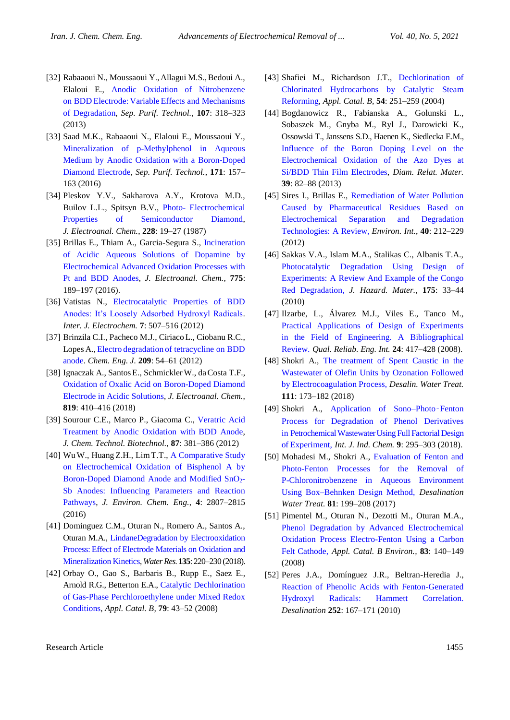- [32] Rabaaoui N., Moussaoui Y., Allagui M.S., Bedoui A., Elaloui E., [Anodic Oxidation of Nitrobenzene](https://www.sciencedirect.com/science/article/pii/S1383586613000695)  on BDD Electrode: Variable [Effects and Mechanisms](https://www.sciencedirect.com/science/article/pii/S1383586613000695)  [of Degradation,](https://www.sciencedirect.com/science/article/pii/S1383586613000695) *Sep. Purif. Technol.*, **107**: 318–323 (2013)
- [33] Saad M.K., Rabaaoui N., Elaloui E., Moussaoui Y., [Mineralization of p-Methylphenol in Aqueous](https://www.sciencedirect.com/science/article/pii/S1383586616310516)  [Medium by Anodic Oxidation with a](https://www.sciencedirect.com/science/article/pii/S1383586616310516) Boron-Doped [Diamond Electrode,](https://www.sciencedirect.com/science/article/pii/S1383586616310516) *Sep. Purif. Technol.*, **171**: 157– 163 (2016)
- [34] Pleskov Y.V., Sakharova A.Y., Krotova M.D., Builov L.L., Spitsyn B.V., Photo- [Electrochemical](https://www.sciencedirect.com/science/article/pii/0022072887800931)  [Properties of Semiconductor Diamond,](https://www.sciencedirect.com/science/article/pii/0022072887800931) *J. Electroanal. Chem.*, **228**: 19–27 (1987)
- [35] Brillas E., Thiam A., Garcia-Segura S., [Incineration](https://www.sciencedirect.com/science/article/pii/S1572665716302235)  [of Acidic Aqueous Solutions of Dopamine by](https://www.sciencedirect.com/science/article/pii/S1572665716302235)  [Electrochemical Advanced Oxidation Processes with](https://www.sciencedirect.com/science/article/pii/S1572665716302235)  [Pt and BDD Anodes,](https://www.sciencedirect.com/science/article/pii/S1572665716302235) *J. Electroanal. Chem.*, **775**: 189–197 (2016).
- [36] Vatistas N., [Electrocatalytic Properties of BDD](https://www.hindawi.com/journals/ijelc/2012/507516/)  [Anodes: It's Loosely Adsorbed Hydroxyl Radicals.](https://www.hindawi.com/journals/ijelc/2012/507516/) *Inter. J. Electrochem.* **7**: 507–516 (2012)
- [37] Brinzila C.I., Pacheco M.J., CiriacoL., Ciobanu R.C., Lopes A., Electro degradation [of tetracycline on BDD](https://www.sciencedirect.com/science/article/pii/S1385894712010145)  [anode.](https://www.sciencedirect.com/science/article/pii/S1385894712010145) *Chem. Eng. J.* **209**: 54–61 (2012)
- [38] Ignaczak A., Santos E., Schmickler W., da Costa T.F., [Oxidation of Oxalic Acid on Boron-Doped Diamond](https://www.sciencedirect.com/science/article/pii/S1572665717308287)  [Electrode in Acidic Solutions,](https://www.sciencedirect.com/science/article/pii/S1572665717308287) *J. Electroanal. Chem.*, **819**: 410–416 (2018)
- [39] Sourour C.E., Marco P., Giacoma C., [Veratric Acid](https://onlinelibrary.wiley.com/doi/10.1002/jctb.2731)  [Treatment by Anodic Oxidation with BDD Anode,](https://onlinelibrary.wiley.com/doi/10.1002/jctb.2731) *J. Chem. Technol. Biotechnol.*, **87**: 381–386 (2012)
- [40] WuW., Huang Z.H., LimT.T., [A Comparative Study](https://www.sciencedirect.com/science/article/pii/S2213343716302044)  [on Electrochemical Oxidation of Bisphenol A by](https://www.sciencedirect.com/science/article/pii/S2213343716302044)  [Boron-Doped Diamond Anode and Modified SnO](https://www.sciencedirect.com/science/article/pii/S2213343716302044)2- [Sb Anodes: Influencing Parameters and Reaction](https://www.sciencedirect.com/science/article/pii/S2213343716302044)  [Pathways,](https://www.sciencedirect.com/science/article/pii/S2213343716302044) *J. Environ. Chem. Eng.*, **4**: 2807–2815 (2016)
- [41] Dominguez C.M., Oturan N., Romero A., Santos A., Oturan M.A., [LindaneDegradation by Electrooxidation](https://www.sciencedirect.com/science/article/pii/S0043135418301441)  Process: [Effect of Electrode Materials on Oxidation and](https://www.sciencedirect.com/science/article/pii/S0043135418301441)  [Mineralization Kinetics,](https://www.sciencedirect.com/science/article/pii/S0043135418301441)*Water Res.***135**: 220–230 (2018).
- [42] Orbay O., Gao S., Barbaris B., Rupp E., Saez E., Arnold R.G., Betterton E.A., Catalytic [Dechlorination](https://www.sciencedirect.com/science/article/pii/S0926337307003153)  [of Gas-Phase Perchloroethylene under Mixed Redox](https://www.sciencedirect.com/science/article/pii/S0926337307003153)  [Conditions,](https://www.sciencedirect.com/science/article/pii/S0926337307003153) *Appl. Catal. B,* **79**: 43–52 (2008)
- [43] Shafiei M., Richardson J.T., [Dechlorination of](https://www.sciencedirect.com/science/article/pii/S0926337304003704)  [Chlorinated Hydrocarbons by Catalytic Steam](https://www.sciencedirect.com/science/article/pii/S0926337304003704)  [Reforming,](https://www.sciencedirect.com/science/article/pii/S0926337304003704) *Appl. Catal. B,* **54**: 251–259 (2004)
- [44] Bogdanowicz R., Fabianska A., Golunski L., Sobaszek M., Gnyba M., Ryl J., Darowicki K., Ossowski T., Janssens S.D., Haenen K., Siedlecka E.M., [Influence of the Boron Doping Level on the](https://www.sciencedirect.com/science/article/pii/S0925963513001702)  [Electrochemical Oxidation of the Azo Dyes at](https://www.sciencedirect.com/science/article/pii/S0925963513001702)  [Si/BDD Thin Film Electrodes,](https://www.sciencedirect.com/science/article/pii/S0925963513001702) *Diam. Relat. Mater.* **39**: 82–88 (2013)
- [45] Sires I., Brillas E., [Remediation of Water Pollution](https://www.sciencedirect.com/science/article/pii/S0160412011002108)  [Caused by Pharmaceutical Residues Based on](https://www.sciencedirect.com/science/article/pii/S0160412011002108)  [Electrochemical Separation and Degradation](https://www.sciencedirect.com/science/article/pii/S0160412011002108)  [Technologies: A Review,](https://www.sciencedirect.com/science/article/pii/S0160412011002108) *Environ. Int.*, **40**: 212–229 (2012)
- [46] Sakkas V.A., Islam M.A., Stalikas C., Albanis T.A., [Photocatalytic Degradation Using Design of](https://www.sciencedirect.com/science/article/pii/S0304389409017014)  [Experiments: A Review And Example of the Congo](https://www.sciencedirect.com/science/article/pii/S0304389409017014)  [Red Degradation,](https://www.sciencedirect.com/science/article/pii/S0304389409017014) *J. Hazard. Mater.*, **175**: 33–44 (2010)
- [47] Ilzarbe, L., Álvarez M.J., Viles E., Tanco M., [Practical Applications of Design of Experiments](https://onlinelibrary.wiley.com/doi/10.1002/qre.909)  [in the Field of Engineering. A Bibliographical](https://onlinelibrary.wiley.com/doi/10.1002/qre.909)  [Review.](https://onlinelibrary.wiley.com/doi/10.1002/qre.909) *Qual. Reliab. Eng. Int.* **24**: 417–428 (2008).
- [48] Shokri A., [The treatment of Spent Caustic in the](https://doi.org/10.5004/dwt.2018.22248)  [Wastewater of Olefin Units by Ozonation Followed](https://doi.org/10.5004/dwt.2018.22248)  [by Electrocoagulation Process,](https://doi.org/10.5004/dwt.2018.22248) *Desalin. Water Treat.* **111**: 173–182 (2018)
- [49] Shokri A., [Application of Sono–Photo](https://link.springer.com/article/10.1007/s40090-018-0159-y)-Fenton [Process for Degradation of Phenol Derivatives](https://link.springer.com/article/10.1007/s40090-018-0159-y)  in Petrochemical Wastewater Using Full Factorial Design of [Experiment,](https://link.springer.com/article/10.1007/s40090-018-0159-y) *Int. J. Ind. Chem.* **9**: 295–303 (2018).
- [50] Mohadesi M., Shokri A., [Evaluation of Fenton and](https://doi.org/10.5004/dwt.2017.21182)  [Photo-Fenton Processes for the Removal of](https://doi.org/10.5004/dwt.2017.21182)  [P-Chloronitrobenzene in Aqueous Environment](https://doi.org/10.5004/dwt.2017.21182)  [Using Box–Behnken Design Method,](https://doi.org/10.5004/dwt.2017.21182) *Desalination Water Treat.* **81**: 199–208 (2017)
- [51] Pimentel M., Oturan N., Dezotti M., Oturan M.A., [Phenol Degradation by Advanced Electrochemical](https://www.sciencedirect.com/science/article/pii/S0926337308000660)  [Oxidation Process Electro-Fenton Using a](https://www.sciencedirect.com/science/article/pii/S0926337308000660) Carbon [Felt Cathode,](https://www.sciencedirect.com/science/article/pii/S0926337308000660) *Appl. Catal. B Environ.,* **83**: 140–149 (2008)
- [52] Peres J.A., Domínguez J.R., Beltran-Heredia J., [Reaction of Phenolic Acids with Fenton-Generated](https://www.sciencedirect.com/science/article/pii/S0011916409012004)  [Hydroxyl Radicals: Hammett Correlation.](https://www.sciencedirect.com/science/article/pii/S0011916409012004) *Desalination* **252**: 167–171 (2010)